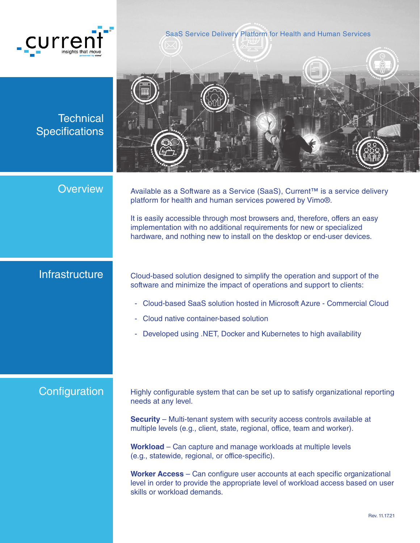

SaaS Service Delivery Platform for Health and Human Services

**Technical Specifications** 



**Overview** 

Available as a Software as a Service (SaaS), Current™ is a service delivery platform for health and human services powered by Vimo®.

It is easily accessible through most browsers and, therefore, offers an easy implementation with no additional requirements for new or specialized hardware, and nothing new to install on the desktop or end-user devices.

### **Infrastructure**

Cloud-based solution designed to simplify the operation and support of the software and minimize the impact of operations and support to clients:

- Cloud-based SaaS solution hosted in Microsoft Azure Commercial Cloud
- Cloud native container-based solution
- Developed using .NET, Docker and Kubernetes to high availability

### **Configuration**

Highly configurable system that can be set up to satisfy organizational reporting needs at any level.

**Security** – Multi-tenant system with security access controls available at multiple levels (e.g., client, state, regional, office, team and worker).

**Workload** – Can capture and manage workloads at multiple levels (e.g., statewide, regional, or office-specific).

**Worker Access** – Can configure user accounts at each specific organizational level in order to provide the appropriate level of workload access based on user skills or workload demands.